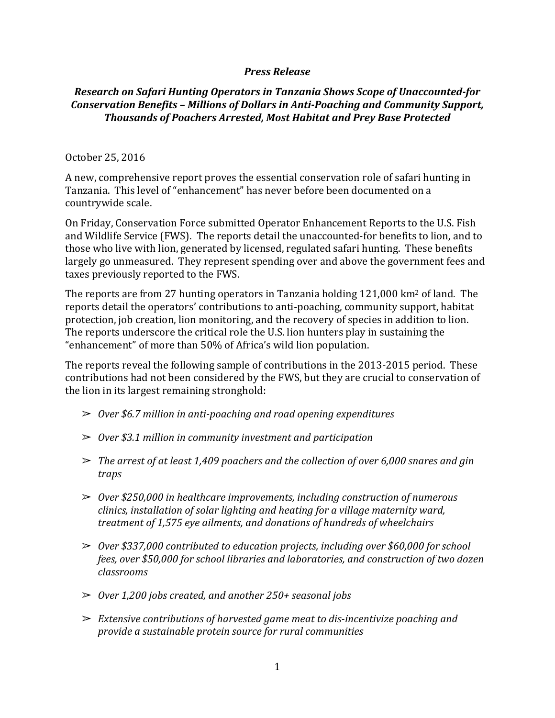## *Press Release*

## *Research on Safari Hunting Operators in Tanzania Shows Scope of Unaccounted-for Conservation Benefits – Millions of Dollars in Anti-Poaching and Community Support, Thousands of Poachers Arrested, Most Habitat and Prey Base Protected*

## October 25, 2016

A new, comprehensive report proves the essential conservation role of safari hunting in Tanzania. This level of "enhancement" has never before been documented on a countrywide scale.

On Friday, Conservation Force submitted Operator Enhancement Reports to the U.S. Fish and Wildlife Service (FWS). The reports detail the unaccounted-for benefits to lion, and to those who live with lion, generated by licensed, regulated safari hunting. These benefits largely go unmeasured. They represent spending over and above the government fees and taxes previously reported to the FWS.

The reports are from 27 hunting operators in Tanzania holding 121,000 km<sup>2</sup> of land. The reports detail the operators' contributions to anti-poaching, community support, habitat protection, job creation, lion monitoring, and the recovery of species in addition to lion. The reports underscore the critical role the U.S. lion hunters play in sustaining the "enhancement" of more than 50% of Africa's wild lion population.

The reports reveal the following sample of contributions in the 2013-2015 period. These contributions had not been considered by the FWS, but they are crucial to conservation of the lion in its largest remaining stronghold:

- ➢ *Over \$6.7 million in anti-poaching and road opening expenditures*
- ➢ *Over \$3.1 million in community investment and participation*
- ➢ *The arrest of at least 1,409 poachers and the collection of over 6,000 snares and gin traps*
- ➢ *Over \$250,000 in healthcare improvements, including construction of numerous clinics, installation of solar lighting and heating for a village maternity ward, treatment of 1,575 eye ailments, and donations of hundreds of wheelchairs*
- ➢ *Over \$337,000 contributed to education projects, including over \$60,000 for school fees, over \$50,000 for school libraries and laboratories, and construction of two dozen classrooms*
- ➢ *Over 1,200 jobs created, and another 250+ seasonal jobs*
- ➢ *Extensive contributions of harvested game meat to dis-incentivize poaching and provide a sustainable protein source for rural communities*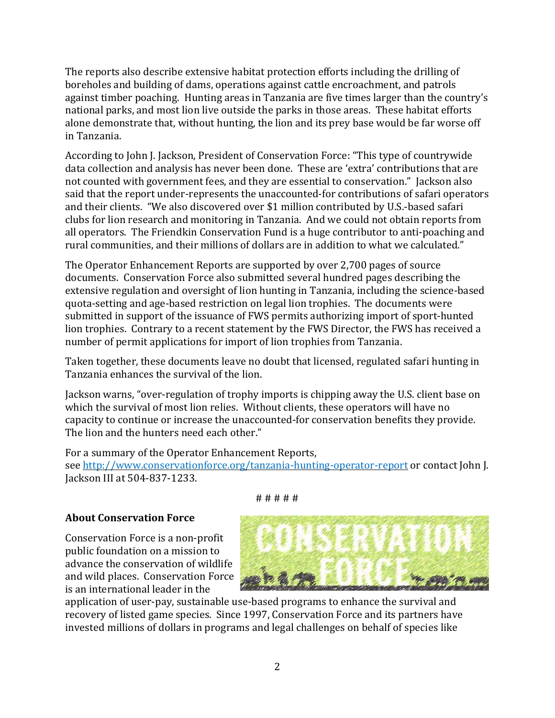The reports also describe extensive habitat protection efforts including the drilling of boreholes and building of dams, operations against cattle encroachment, and patrols against timber poaching. Hunting areas in Tanzania are five times larger than the country's national parks, and most lion live outside the parks in those areas. These habitat efforts alone demonstrate that, without hunting, the lion and its prey base would be far worse off in Tanzania.

According to John J. Jackson, President of Conservation Force: "This type of countrywide data collection and analysis has never been done. These are 'extra' contributions that are not counted with government fees, and they are essential to conservation." Jackson also said that the report under-represents the unaccounted-for contributions of safari operators and their clients. "We also discovered over \$1 million contributed by U.S.-based safari clubs for lion research and monitoring in Tanzania. And we could not obtain reports from all operators. The Friendkin Conservation Fund is a huge contributor to anti-poaching and rural communities, and their millions of dollars are in addition to what we calculated."

The Operator Enhancement Reports are supported by over 2,700 pages of source documents. Conservation Force also submitted several hundred pages describing the extensive regulation and oversight of lion hunting in Tanzania, including the science-based quota-setting and age-based restriction on legal lion trophies. The documents were submitted in support of the issuance of FWS permits authorizing import of sport-hunted lion trophies. Contrary to a recent statement by the FWS Director, the FWS has received a number of permit applications for import of lion trophies from Tanzania.

Taken together, these documents leave no doubt that licensed, regulated safari hunting in Tanzania enhances the survival of the lion.

Jackson warns, "over-regulation of trophy imports is chipping away the U.S. client base on which the survival of most lion relies. Without clients, these operators will have no capacity to continue or increase the unaccounted-for conservation benefits they provide. The lion and the hunters need each other."

For a summary of the Operator Enhancement Reports, see <http://www.conservationforce.org/tanzania-hunting-operator-report> or contact John J. Jackson III at 504-837-1233.

## **About Conservation Force**

Conservation Force is a non-profit public foundation on a mission to advance the conservation of wildlife and wild places. Conservation Force is an international leader in the



application of user-pay, sustainable use-based programs to enhance the survival and recovery of listed game species. Since 1997, Conservation Force and its partners have invested millions of dollars in programs and legal challenges on behalf of species like

# # # # #